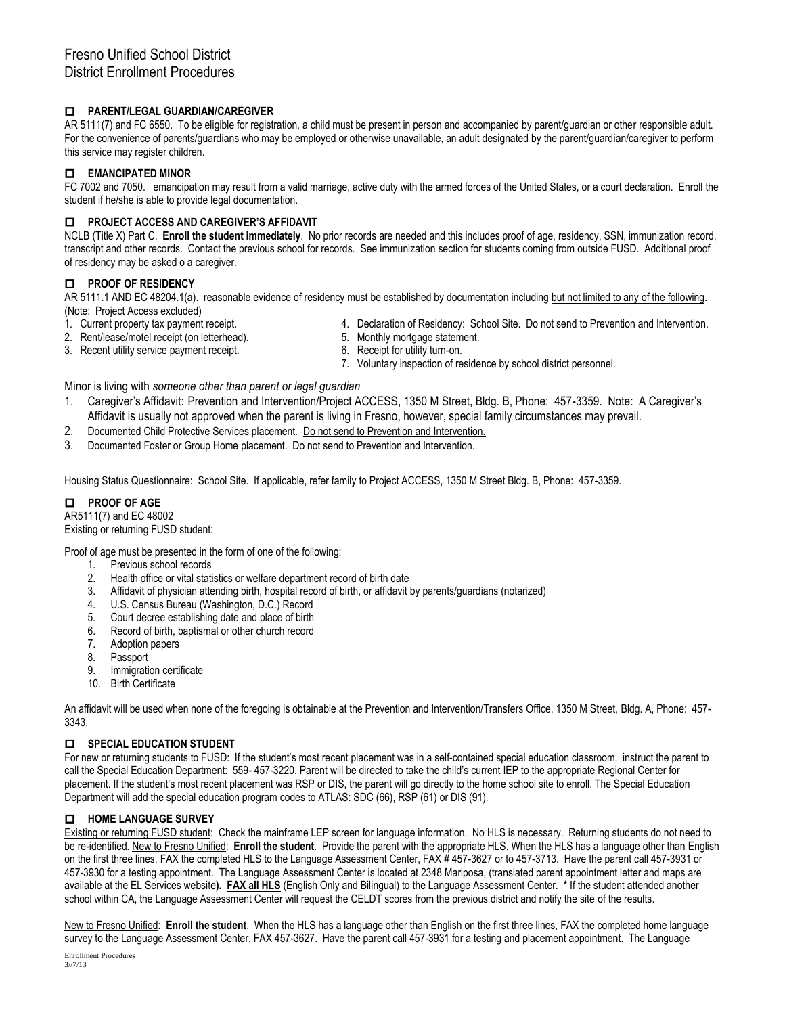## **PARENT/LEGAL GUARDIAN/CAREGIVER**

AR 5111(7) and FC 6550. To be eligible for registration, a child must be present in person and accompanied by parent/guardian or other responsible adult. For the convenience of parents/guardians who may be employed or otherwise unavailable, an adult designated by the parent/guardian/caregiver to perform this service may register children.

# **EMANCIPATED MINOR**

FC 7002 and 7050. emancipation may result from a valid marriage, active duty with the armed forces of the United States, or a court declaration. Enroll the student if he/she is able to provide legal documentation.

## **PROJECT ACCESS AND CAREGIVER'S AFFIDAVIT**

NCLB (Title X) Part C. **Enroll the student immediately**. No prior records are needed and this includes proof of age, residency, SSN, immunization record, transcript and other records. Contact the previous school for records. See immunization section for students coming from outside FUSD. Additional proof of residency may be asked o a caregiver.

## **PROOF OF RESIDENCY**

AR 5111.1 AND EC 48204.1(a). reasonable evidence of residency must be established by documentation including but not limited to any of the following. (Note: Project Access excluded)

- 1. Current property tax payment receipt. 4. Declaration of Residency: School Site. Do not send to Prevention and Intervention.
- 2. Rent/lease/motel receipt (on letterhead). 5. Monthly mortgage statement.
- 3. Recent utility service payment receipt. 6. Receipt for utility turn-on.
- - 7. Voluntary inspection of residence by school district personnel.

## Minor is living with *someone other than parent or legal guardian*

- 1. Caregiver's Affidavit: Prevention and Intervention/Project ACCESS, 1350 M Street, Bldg. B, Phone: 457-3359. Note: A Caregiver's Affidavit is usually not approved when the parent is living in Fresno, however, special family circumstances may prevail.
- 2. Documented Child Protective Services placement. Do not send to Prevention and Intervention.
- 3. Documented Foster or Group Home placement. Do not send to Prevention and Intervention.

Housing Status Questionnaire: School Site. If applicable, refer family to Project ACCESS, 1350 M Street Bldg. B, Phone: 457-3359.

# **PROOF OF AGE**

#### AR5111(7) and EC 48002 Existing or returning FUSD student:

Proof of age must be presented in the form of one of the following:

- 1. Previous school records
- 2. Health office or vital statistics or welfare department record of birth date
- 3. Affidavit of physician attending birth, hospital record of birth, or affidavit by parents/guardians (notarized)
- 4. U.S. Census Bureau (Washington, D.C.) Record
- 5. Court decree establishing date and place of birth
- 6. Record of birth, baptismal or other church record
- 7. Adoption papers
- 8. Passport
- 9. Immigration certificate
- 10. Birth Certificate

An affidavit will be used when none of the foregoing is obtainable at the Prevention and Intervention/Transfers Office, 1350 M Street, Bldg. A, Phone: 457- 3343.

## $\Box$  SPECIAL EDUCATION STUDENT

For new or returning students to FUSD: If the student's most recent placement was in a self-contained special education classroom, instruct the parent to call the Special Education Department: 559- 457-3220. Parent will be directed to take the child's current IEP to the appropriate Regional Center for placement. If the student's most recent placement was RSP or DIS, the parent will go directly to the home school site to enroll. The Special Education Department will add the special education program codes to ATLAS: SDC (66), RSP (61) or DIS (91).

## **HOME LANGUAGE SURVEY**

Existing or returning FUSD student: Check the mainframe LEP screen for language information. No HLS is necessary. Returning students do not need to be re-identified. New to Fresno Unified: **Enroll the student**. Provide the parent with the appropriate HLS. When the HLS has a language other than English on the first three lines, FAX the completed HLS to the Language Assessment Center, FAX # 457-3627 or to 457-3713. Have the parent call 457-3931 or 457-3930 for a testing appointment. The Language Assessment Center is located at 2348 Mariposa, (translated parent appointment letter and maps are available at the EL Services website**). FAX all HLS** (English Only and Bilingual) to the Language Assessment Center. **\*** If the student attended another school within CA, the Language Assessment Center will request the CELDT scores from the previous district and notify the site of the results.

New to Fresno Unified: **Enroll the student**. When the HLS has a language other than English on the first three lines, FAX the completed home language survey to the Language Assessment Center, FAX 457-3627. Have the parent call 457-3931 for a testing and placement appointment. The Language